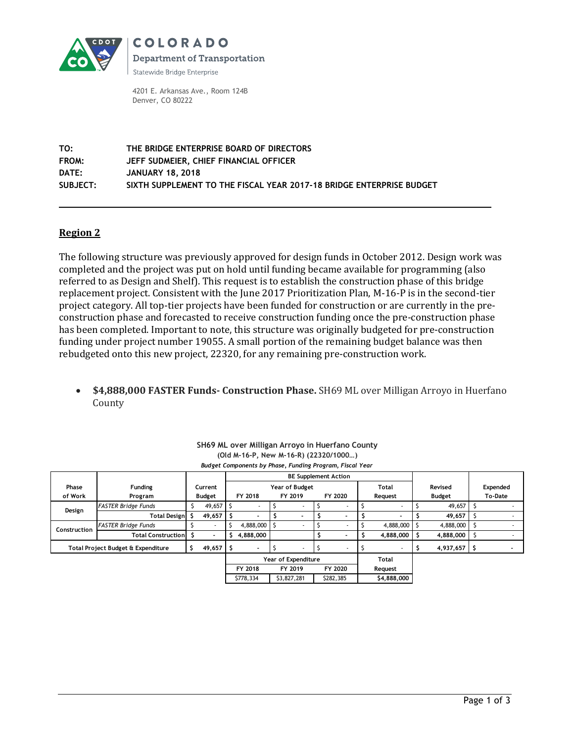

COLORADO **Department of Transportation** 

Statewide Bridge Enterprise

4201 E. Arkansas Ave., Room 124B Denver, CO 80222

**TO: THE BRIDGE ENTERPRISE BOARD OF DIRECTORS FROM: JEFF SUDMEIER, CHIEF FINANCIAL OFFICER DATE: JANUARY 18, 2018 SUBJECT: SIXTH SUPPLEMENT TO THE FISCAL YEAR 2017-18 BRIDGE ENTERPRISE BUDGET**

## **Region 2**

The following structure was previously approved for design funds in October 2012. Design work was completed and the project was put on hold until funding became available for programming (also referred to as Design and Shelf). This request is to establish the construction phase of this bridge replacement project. Consistent with the June 2017 Prioritization Plan, M-16-P is in the second-tier project category. All top-tier projects have been funded for construction or are currently in the preconstruction phase and forecasted to receive construction funding once the pre-construction phase has been completed. Important to note, this structure was originally budgeted for pre-construction funding under project number 19055. A small portion of the remaining budget balance was then rebudgeted onto this new project, 22320, for any remaining pre-construction work.

 **\$4,888,000 FASTER Funds- Construction Phase.** SH69 ML over Milligan Arroyo in Huerfano County

| SH69 ML over Milligan Arroyo in Huerfano County<br>(Old M-16-P, New M-16-R) (22320/1000)<br>Budget Components by Phase, Funding Program, Fiscal Year |                            |         |                          |                             |                       |         |             |         |                          |         |             |        |                |         |          |
|------------------------------------------------------------------------------------------------------------------------------------------------------|----------------------------|---------|--------------------------|-----------------------------|-----------------------|---------|-------------|---------|--------------------------|---------|-------------|--------|----------------|---------|----------|
|                                                                                                                                                      |                            |         |                          | <b>BE Supplement Action</b> |                       |         |             |         |                          |         |             |        |                |         |          |
| Phase                                                                                                                                                | <b>Funding</b>             | Current |                          |                             | <b>Year of Budget</b> |         |             |         |                          |         | Total       |        | Revised        |         | Expended |
| of Work                                                                                                                                              | Program                    | Budget  |                          | FY 2018                     |                       | FY 2019 |             | FY 2020 |                          | Request |             | Budget |                | To-Date |          |
| Design                                                                                                                                               | FASTER Bridge Funds        | Š.      | 49,657                   |                             | ٠                     |         |             |         |                          |         | ٠           |        | 49,657         | -S      |          |
|                                                                                                                                                      | Total Design \$            |         | 49,657                   |                             |                       |         |             | \$      | $\overline{\phantom{0}}$ |         |             |        | 49,657         | S       |          |
| Construction                                                                                                                                         | <b>FASTER Bridge Funds</b> | Ŝ       | $\overline{\phantom{a}}$ |                             | 4,888,000             | Ŝ       |             | S       |                          |         | 4,888,000   |        | 4,888,000      | -S      |          |
|                                                                                                                                                      | Total Construction \$      |         | $\overline{\phantom{0}}$ | Ŝ.                          | 4,888,000             |         |             | \$      |                          |         | 4,888,000   |        | 4,888,000      | S       |          |
| s.<br>Total Project Budget & Expenditure                                                                                                             |                            |         | 49,657                   |                             | $\sim$                |         |             |         |                          |         |             |        | $4,937,657$ \$ |         |          |
|                                                                                                                                                      |                            |         |                          |                             | Year of Expenditure   |         |             |         |                          |         | Total       |        |                |         |          |
|                                                                                                                                                      |                            |         |                          |                             | FY 2018               |         | FY 2019     |         | FY 2020                  |         | Request     |        |                |         |          |
|                                                                                                                                                      |                            |         |                          |                             | \$778,334             |         | \$3,827,281 |         | \$282,385                |         | \$4,888,000 |        |                |         |          |
|                                                                                                                                                      |                            |         |                          |                             |                       |         |             |         |                          |         |             |        |                |         |          |

| SH69 ML over Milligan Arroyo in Huerfano County          |
|----------------------------------------------------------|
| (Old M-16-P, New M-16-R) (22320/1000)                    |
| Budget Components by Phase, Funding Program, Fiscal Year |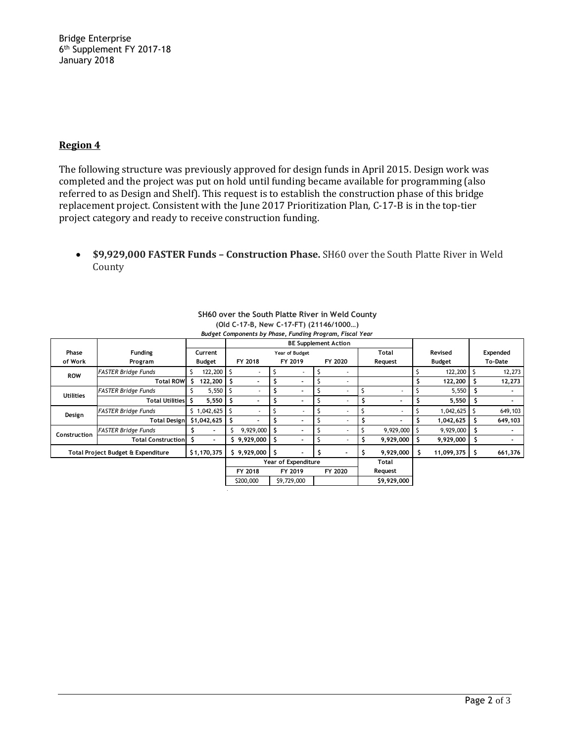Bridge Enterprise 6 th Supplement FY 2017-18 January 2018

### **Region 4**

The following structure was previously approved for design funds in April 2015. Design work was completed and the project was put on hold until funding became available for programming (also referred to as Design and Shelf). This request is to establish the construction phase of this bridge replacement project. Consistent with the June 2017 Prioritization Plan, C-17-B is in the top-tier project category and ready to receive construction funding.

 **\$9,929,000 FASTER Funds – Construction Phase.** SH60 over the South Platte River in Weld County

|                                    |                            |         |                    | <b>bad get components by ringse, randing riogram, risear rear</b><br><b>BE Supplement Action</b> |             |         |             |         |         |         |             |               |            |         |          |  |
|------------------------------------|----------------------------|---------|--------------------|--------------------------------------------------------------------------------------------------|-------------|---------|-------------|---------|---------|---------|-------------|---------------|------------|---------|----------|--|
| Phase                              | <b>Funding</b>             | Current |                    | Total<br>Year of Budget                                                                          |             |         |             |         |         |         |             |               | Revised    |         | Expended |  |
| of Work                            | Program                    | Budget  |                    | FY 2018                                                                                          |             | FY 2019 |             | FY 2020 |         | Request |             | <b>Budget</b> |            | To-Date |          |  |
| <b>ROW</b>                         | FASTER Bridge Funds        |         | $122,200$ \$       |                                                                                                  |             |         |             |         |         |         |             |               | 122,200    | -S      | 12,273   |  |
|                                    | <b>Total ROW</b>           | Ŝ.      | 122,200            |                                                                                                  |             |         |             |         |         |         |             |               | 122,200    |         | 12,273   |  |
| <b>Utilities</b>                   | <b>FASTER Bridge Funds</b> |         | $5,550$ $\sqrt{5}$ |                                                                                                  |             |         | $\sim$      |         |         |         |             |               | 5,550      | s       |          |  |
|                                    | Total Utilities S          |         | 5,550              |                                                                                                  |             |         |             |         |         | \$      | ٠           |               | 5,550      | s       |          |  |
| Design                             | <b>FASTER Bridge Funds</b> |         | $$1,042,625$ \$    |                                                                                                  |             |         |             |         |         |         |             |               | 1,042,625  |         | 649,103  |  |
|                                    | <b>Total Design</b>        |         | \$1,042,625        |                                                                                                  |             |         |             |         |         |         |             |               | 1,042,625  |         | 649,103  |  |
| Construction                       | <b>FASTER Bridge Funds</b> |         |                    | Ś                                                                                                | 9,929,000   |         |             |         |         |         | 9,929,000   |               | 9,929,000  | S       |          |  |
|                                    | Total Construction \$      |         | ۰.                 |                                                                                                  | \$9,929,000 |         | ۰           |         |         | s       | 9,929,000   |               | 9,929,000  | \$      | ۰        |  |
| Total Project Budget & Expenditure |                            |         | \$1,170,375        |                                                                                                  | \$9,929,000 |         |             |         |         |         | 9,929,000   | \$            | 11,099,375 | s       | 661,376  |  |
|                                    |                            |         |                    | Year of Expenditure                                                                              |             |         |             |         |         | Total   |             |               |            |         |          |  |
|                                    |                            |         |                    |                                                                                                  | FY 2018     |         | FY 2019     |         | FY 2020 |         | Request     |               |            |         |          |  |
|                                    |                            |         |                    |                                                                                                  | \$200,000   |         | \$9,729,000 |         |         |         | \$9,929,000 |               |            |         |          |  |
|                                    |                            |         |                    |                                                                                                  |             |         |             |         |         |         |             |               |            |         |          |  |

#### **SH60 over the South Platte River in Weld County (Old C-17-B, New C-17-FT) (21146/1000…)** *Budget Components by Phase, Funding Program, Fiscal Year*